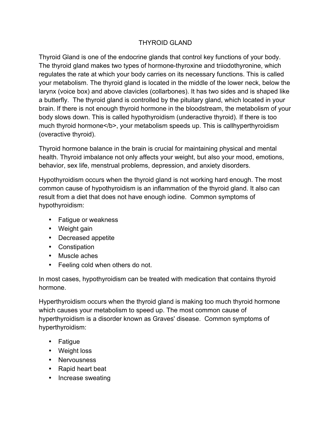## THYROID GLAND

Thyroid Gland is one of the endocrine glands that control key functions of your body. The thyroid gland makes two types of hormone-thyroxine and triiodothyronine, which regulates the rate at which your body carries on its necessary functions. This is called your metabolism. The thyroid gland is located in the middle of the lower neck, below the larynx (voice box) and above clavicles (collarbones). It has two sides and is shaped like a butterfly. The thyroid gland is controlled by the pituitary gland, which located in your brain. If there is not enough thyroid hormone in the bloodstream, the metabolism of your body slows down. This is called hypothyroidism (underactive thyroid). If there is too much thyroid hormone</b>, your metabolism speeds up. This is callhyperthyroidism (overactive thyroid).

Thyroid hormone balance in the brain is crucial for maintaining physical and mental health. Thyroid imbalance not only affects your weight, but also your mood, emotions, behavior, sex life, menstrual problems, depression, and anxiety disorders.

Hypothyroidism occurs when the thyroid gland is not working hard enough. The most common cause of hypothyroidism is an inflammation of the thyroid gland. It also can result from a diet that does not have enough iodine. Common symptoms of hypothyroidism:

- Fatigue or weakness
- Weight gain
- Decreased appetite
- Constipation
- Muscle aches
- Feeling cold when others do not.

In most cases, hypothyroidism can be treated with medication that contains thyroid hormone.

Hyperthyroidism occurs when the thyroid gland is making too much thyroid hormone which causes your metabolism to speed up. The most common cause of hyperthyroidism is a disorder known as Graves' disease. Common symptoms of hyperthyroidism:

- Fatigue
- Weight loss
- Nervousness
- Rapid heart beat
- Increase sweating